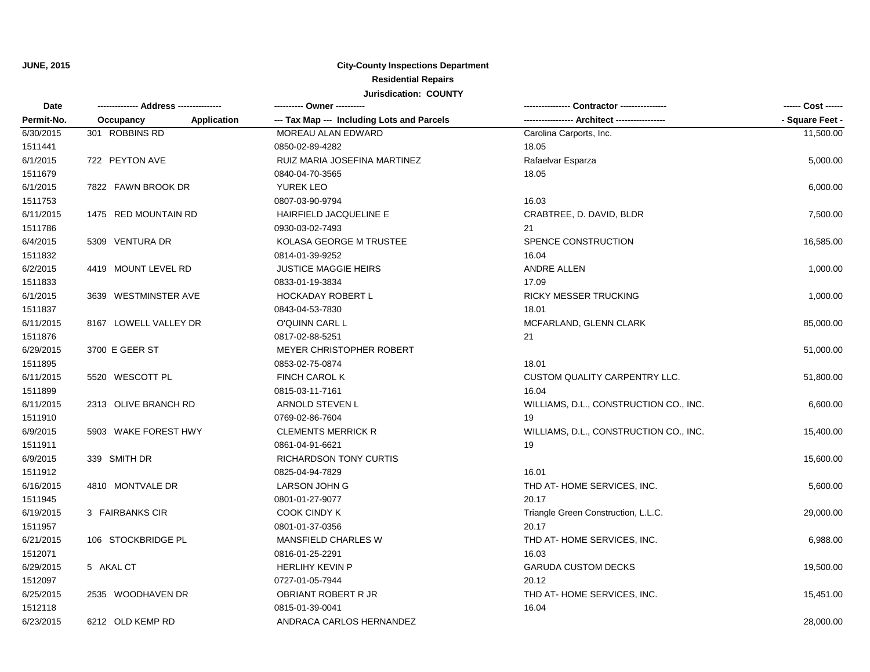**JUNE, 2015**

## **City-County Inspections Department Residential Repairs Jurisdication: COUNTY**

| Date<br>Permit-No. |                                 | ---------- Owner ----------                | Contractor ----------------            | ------ Cost ------<br>- Square Feet - |
|--------------------|---------------------------------|--------------------------------------------|----------------------------------------|---------------------------------------|
|                    | <b>Application</b><br>Occupancy | --- Tax Map --- Including Lots and Parcels |                                        |                                       |
| 6/30/2015          | 301 ROBBINS RD                  | MOREAU ALAN EDWARD                         | Carolina Carports, Inc.                | 11,500.00                             |
| 1511441            |                                 | 0850-02-89-4282                            | 18.05                                  |                                       |
| 6/1/2015           | 722 PEYTON AVE                  | RUIZ MARIA JOSEFINA MARTINEZ               | Rafaelvar Esparza                      | 5,000.00                              |
| 1511679            |                                 | 0840-04-70-3565                            | 18.05                                  |                                       |
| 6/1/2015           | 7822 FAWN BROOK DR              | YUREK LEO                                  |                                        | 6,000.00                              |
| 1511753            |                                 | 0807-03-90-9794                            | 16.03                                  |                                       |
| 6/11/2015          | 1475 RED MOUNTAIN RD            | HAIRFIELD JACQUELINE E                     | CRABTREE, D. DAVID, BLDR               | 7,500.00                              |
| 1511786            |                                 | 0930-03-02-7493                            | 21                                     |                                       |
| 6/4/2015           | 5309 VENTURA DR                 | KOLASA GEORGE M TRUSTEE                    | SPENCE CONSTRUCTION                    | 16,585.00                             |
| 1511832            |                                 | 0814-01-39-9252                            | 16.04                                  |                                       |
| 6/2/2015           | 4419 MOUNT LEVEL RD             | <b>JUSTICE MAGGIE HEIRS</b>                | <b>ANDRE ALLEN</b>                     | 1,000.00                              |
| 1511833            |                                 | 0833-01-19-3834                            | 17.09                                  |                                       |
| 6/1/2015           | 3639 WESTMINSTER AVE            | <b>HOCKADAY ROBERT L</b>                   | <b>RICKY MESSER TRUCKING</b>           | 1,000.00                              |
| 1511837            |                                 | 0843-04-53-7830                            | 18.01                                  |                                       |
| 6/11/2015          | 8167 LOWELL VALLEY DR           | O'QUINN CARL L                             | MCFARLAND, GLENN CLARK                 | 85,000.00                             |
| 1511876            |                                 | 0817-02-88-5251                            | 21                                     |                                       |
| 6/29/2015          | 3700 E GEER ST                  | <b>MEYER CHRISTOPHER ROBERT</b>            |                                        | 51,000.00                             |
| 1511895            |                                 | 0853-02-75-0874                            | 18.01                                  |                                       |
| 6/11/2015          | 5520 WESCOTT PL                 | <b>FINCH CAROL K</b>                       | <b>CUSTOM QUALITY CARPENTRY LLC.</b>   | 51,800.00                             |
| 1511899            |                                 | 0815-03-11-7161                            | 16.04                                  |                                       |
| 6/11/2015          | 2313 OLIVE BRANCH RD            | ARNOLD STEVEN L                            | WILLIAMS, D.L., CONSTRUCTION CO., INC. | 6,600.00                              |
| 1511910            |                                 | 0769-02-86-7604                            | 19                                     |                                       |
| 6/9/2015           | 5903 WAKE FOREST HWY            | <b>CLEMENTS MERRICK R</b>                  | WILLIAMS, D.L., CONSTRUCTION CO., INC. | 15,400.00                             |
| 1511911            |                                 | 0861-04-91-6621                            | 19                                     |                                       |
| 6/9/2015           | 339 SMITH DR                    | <b>RICHARDSON TONY CURTIS</b>              |                                        | 15,600.00                             |
| 1511912            |                                 | 0825-04-94-7829                            | 16.01                                  |                                       |
| 6/16/2015          | 4810 MONTVALE DR                | LARSON JOHN G                              | THD AT-HOME SERVICES, INC.             | 5,600.00                              |
| 1511945            |                                 | 0801-01-27-9077                            | 20.17                                  |                                       |
| 6/19/2015          | 3 FAIRBANKS CIR                 | <b>COOK CINDY K</b>                        | Triangle Green Construction, L.L.C.    | 29,000.00                             |
| 1511957            |                                 | 0801-01-37-0356                            | 20.17                                  |                                       |
| 6/21/2015          | 106 STOCKBRIDGE PL              | MANSFIELD CHARLES W                        | THD AT-HOME SERVICES, INC.             | 6,988.00                              |
| 1512071            |                                 | 0816-01-25-2291                            | 16.03                                  |                                       |
| 6/29/2015          | 5 AKAL CT                       | <b>HERLIHY KEVIN P</b>                     | <b>GARUDA CUSTOM DECKS</b>             | 19,500.00                             |
| 1512097            |                                 | 0727-01-05-7944                            | 20.12                                  |                                       |
| 6/25/2015          | 2535 WOODHAVEN DR               | OBRIANT ROBERT R JR                        | THD AT-HOME SERVICES, INC.             | 15,451.00                             |
| 1512118            |                                 | 0815-01-39-0041                            | 16.04                                  |                                       |
| 6/23/2015          | 6212 OLD KEMP RD                | ANDRACA CARLOS HERNANDEZ                   |                                        | 28,000.00                             |